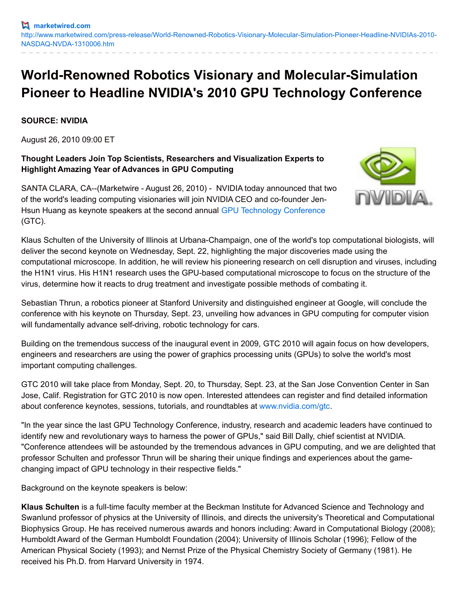## **World-Renowned Robotics Visionary and Molecular-Simulation Pioneer to Headline NVIDIA's 2010 GPU Technology Conference**

**SOURCE: NVIDIA**

August 26, 2010 09:00 ET

## **Thought Leaders Join Top Scientists, Researchers and Visualization Experts to Highlight Amazing Year of Advances in GPU Computing**

SANTA CLARA, CA--(Marketwire - August 26, 2010) - NVIDIA today announced that two of the world's leading computing visionaries will join NVIDIA CEO and co-founder Jen-Hsun Huang as keynote speakers at the second annual GPU [Technology](http://www.nvidia.com/object/gpu_technology_conference.html) Conference (GTC).



Klaus Schulten of the University of Illinois at Urbana-Champaign, one of the world's top computational biologists, will deliver the second keynote on Wednesday, Sept. 22, highlighting the major discoveries made using the computational microscope. In addition, he will review his pioneering research on cell disruption and viruses, including the H1N1 virus. His H1N1 research uses the GPU-based computational microscope to focus on the structure of the virus, determine how it reacts to drug treatment and investigate possible methods of combating it.

Sebastian Thrun, a robotics pioneer at Stanford University and distinguished engineer at Google, will conclude the conference with his keynote on Thursday, Sept. 23, unveiling how advances in GPU computing for computer vision will fundamentally advance self-driving, robotic technology for cars.

Building on the tremendous success of the inaugural event in 2009, GTC 2010 will again focus on how developers, engineers and researchers are using the power of graphics processing units (GPUs) to solve the world's most important computing challenges.

GTC 2010 will take place from Monday, Sept. 20, to Thursday, Sept. 23, at the San Jose Convention Center in San Jose, Calif. Registration for GTC 2010 is now open. Interested attendees can register and find detailed information about conference keynotes, sessions, tutorials, and roundtables at [www.nvidia.com/gtc](http://www.nvidia.com/gtc).

"In the year since the last GPU Technology Conference, industry, research and academic leaders have continued to identify new and revolutionary ways to harness the power of GPUs," said Bill Dally, chief scientist at NVIDIA. "Conference attendees will be astounded by the tremendous advances in GPU computing, and we are delighted that professor Schulten and professor Thrun will be sharing their unique findings and experiences about the gamechanging impact of GPU technology in their respective fields."

Background on the keynote speakers is below:

**Klaus Schulten** is a full-time faculty member at the Beckman Institute for Advanced Science and Technology and Swanlund professor of physics at the University of Illinois, and directs the university's Theoretical and Computational Biophysics Group. He has received numerous awards and honors including: Award in Computational Biology (2008); Humboldt Award of the German Humboldt Foundation (2004); University of Illinois Scholar (1996); Fellow of the American Physical Society (1993); and Nernst Prize of the Physical Chemistry Society of Germany (1981). He received his Ph.D. from Harvard University in 1974.